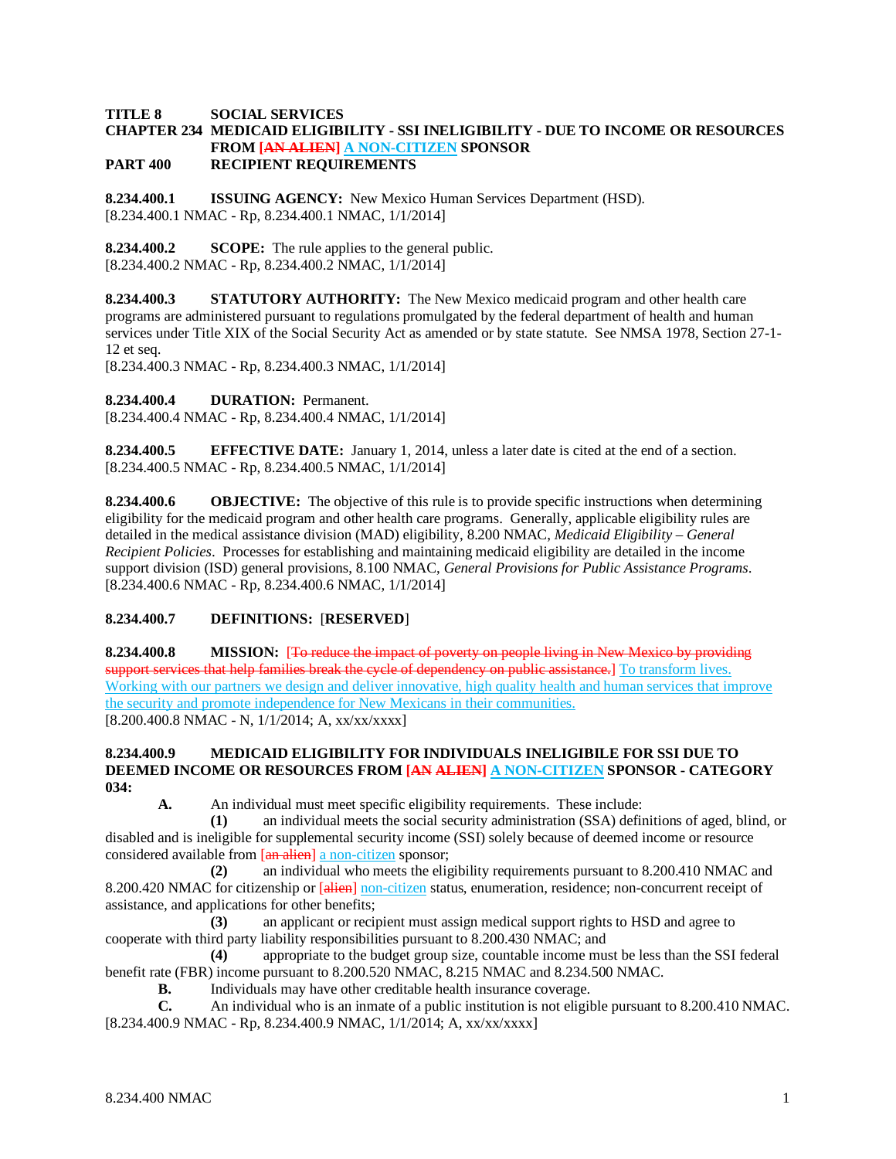# **TITLE 8 SOCIAL SERVICES**

# **CHAPTER 234 MEDICAID ELIGIBILITY - SSI INELIGIBILITY - DUE TO INCOME OR RESOURCES FROM [AN ALIEN] A NON-CITIZEN SPONSOR**

**PART 400 RECIPIENT REQUIREMENTS**

**8.234.400.1 ISSUING AGENCY:** New Mexico Human Services Department (HSD). [8.234.400.1 NMAC - Rp, 8.234.400.1 NMAC, 1/1/2014]

**8.234.400.2 SCOPE:** The rule applies to the general public. [8.234.400.2 NMAC - Rp, 8.234.400.2 NMAC, 1/1/2014]

**8.234.400.3 STATUTORY AUTHORITY:** The New Mexico medicaid program and other health care programs are administered pursuant to regulations promulgated by the federal department of health and human services under Title XIX of the Social Security Act as amended or by state statute. See NMSA 1978, Section 27-1- 12 et seq.

[8.234.400.3 NMAC - Rp, 8.234.400.3 NMAC, 1/1/2014]

**8.234.400.4 DURATION:** Permanent.

[8.234.400.4 NMAC - Rp, 8.234.400.4 NMAC, 1/1/2014]

**8.234.400.5 EFFECTIVE DATE:** January 1, 2014, unless a later date is cited at the end of a section. [8.234.400.5 NMAC - Rp, 8.234.400.5 NMAC, 1/1/2014]

**8.234.400.6 OBJECTIVE:** The objective of this rule is to provide specific instructions when determining eligibility for the medicaid program and other health care programs. Generally, applicable eligibility rules are detailed in the medical assistance division (MAD) eligibility, 8.200 NMAC, *Medicaid Eligibility – General Recipient Policies*. Processes for establishing and maintaining medicaid eligibility are detailed in the income support division (ISD) general provisions, 8.100 NMAC, *General Provisions for Public Assistance Programs*. [8.234.400.6 NMAC - Rp, 8.234.400.6 NMAC, 1/1/2014]

#### **8.234.400.7 DEFINITIONS:** [**RESERVED**]

**8.234.400.8 MISSION:** [To reduce the impact of poverty on people living in New Mexico by providing support services that help families break the cycle of dependency on public assistance.] To transform lives. Working with our partners we design and deliver innovative, high quality health and human services that improve the security and promote independence for New Mexicans in their communities. [8.200.400.8 NMAC - N, 1/1/2014; A, xx/xx/xxxx]

#### **8.234.400.9 MEDICAID ELIGIBILITY FOR INDIVIDUALS INELIGIBILE FOR SSI DUE TO DEEMED INCOME OR RESOURCES FROM [AN ALIEN] A NON-CITIZEN SPONSOR - CATEGORY 034:**

**A.** An individual must meet specific eligibility requirements. These include:

**(1)** an individual meets the social security administration (SSA) definitions of aged, blind, or disabled and is ineligible for supplemental security income (SSI) solely because of deemed income or resource considered available from [an alien] a non-citizen sponsor;

**(2)** an individual who meets the eligibility requirements pursuant to 8.200.410 NMAC and 8.200.420 NMAC for citizenship or [alien] non-citizen status, enumeration, residence; non-concurrent receipt of assistance, and applications for other benefits;

**(3)** an applicant or recipient must assign medical support rights to HSD and agree to cooperate with third party liability responsibilities pursuant to 8.200.430 NMAC; and

**(4)** appropriate to the budget group size, countable income must be less than the SSI federal benefit rate (FBR) income pursuant to 8.200.520 NMAC, 8.215 NMAC and 8.234.500 NMAC.

**B.** Individuals may have other creditable health insurance coverage.

**C.** An individual who is an inmate of a public institution is not eligible pursuant to 8.200.410 NMAC.

[8.234.400.9 NMAC - Rp, 8.234.400.9 NMAC, 1/1/2014; A, xx/xx/xxxx]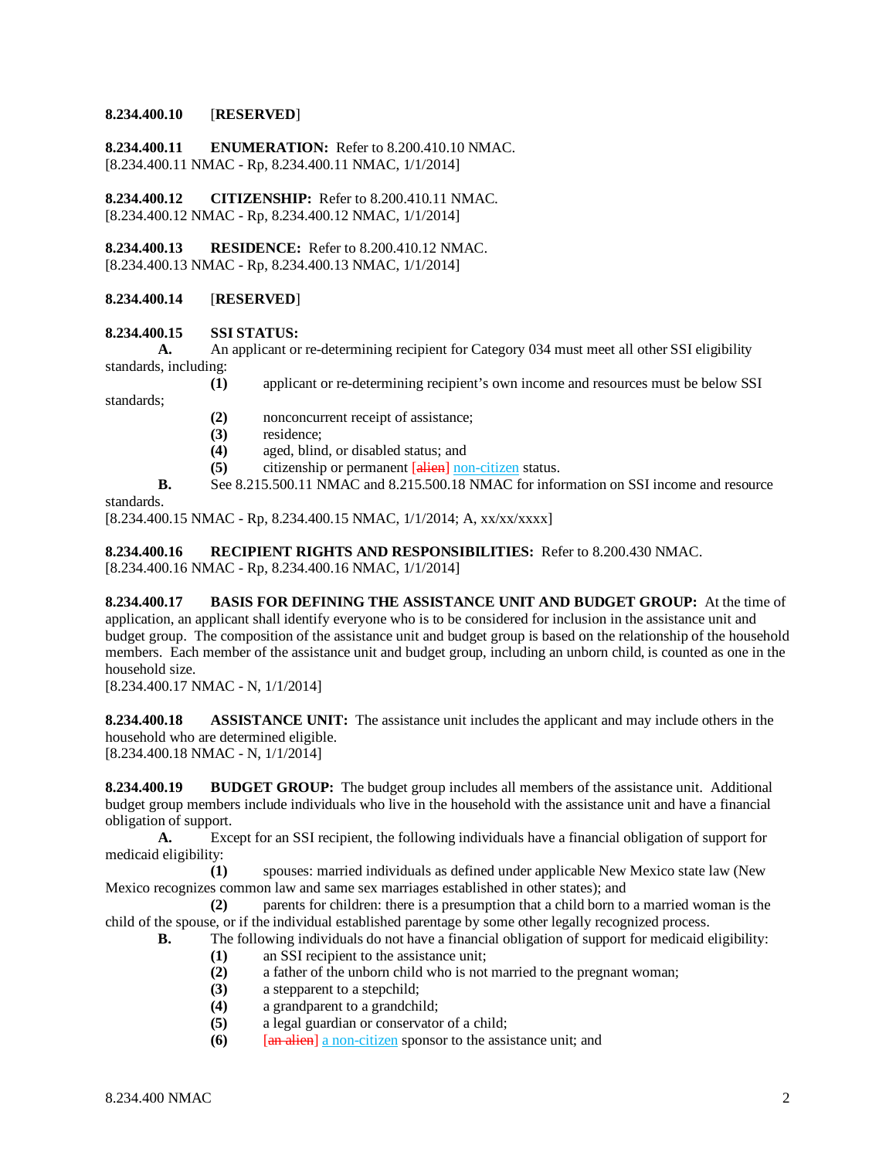### **8.234.400.10** [**RESERVED**]

**8.234.400.11 ENUMERATION:** Refer to 8.200.410.10 NMAC. [8.234.400.11 NMAC - Rp, 8.234.400.11 NMAC, 1/1/2014]

**8.234.400.12 CITIZENSHIP:** Refer to 8.200.410.11 NMAC. [8.234.400.12 NMAC - Rp, 8.234.400.12 NMAC, 1/1/2014]

**8.234.400.13 RESIDENCE:** Refer to 8.200.410.12 NMAC. [8.234.400.13 NMAC - Rp, 8.234.400.13 NMAC, 1/1/2014]

#### **8.234.400.14** [**RESERVED**]

#### **8.234.400.15 SSI STATUS:**

**A.** An applicant or re-determining recipient for Category 034 must meet all other SSI eligibility standards, including:

**(1)** applicant or re-determining recipient's own income and resources must be below SSI

standards;

- **(2)** nonconcurrent receipt of assistance;
- (3) residence;<br>(4) aged, blind
- **(4)** aged, blind, or disabled status; and
- **(5)** citizenship or permanent [alien] non-citizen status.
- **B.** See 8.215.500.11 NMAC and 8.215.500.18 NMAC for information on SSI income and resource

#### standards.

[8.234.400.15 NMAC - Rp, 8.234.400.15 NMAC, 1/1/2014; A, xx/xx/xxxx]

**8.234.400.16 RECIPIENT RIGHTS AND RESPONSIBILITIES:** Refer to 8.200.430 NMAC.

[8.234.400.16 NMAC - Rp, 8.234.400.16 NMAC, 1/1/2014]

**8.234.400.17 BASIS FOR DEFINING THE ASSISTANCE UNIT AND BUDGET GROUP:** At the time of application, an applicant shall identify everyone who is to be considered for inclusion in the assistance unit and budget group. The composition of the assistance unit and budget group is based on the relationship of the household members. Each member of the assistance unit and budget group, including an unborn child, is counted as one in the household size.

[8.234.400.17 NMAC - N, 1/1/2014]

**8.234.400.18 ASSISTANCE UNIT:** The assistance unit includes the applicant and may include others in the household who are determined eligible. [8.234.400.18 NMAC - N, 1/1/2014]

**8.234.400.19 BUDGET GROUP:** The budget group includes all members of the assistance unit. Additional budget group members include individuals who live in the household with the assistance unit and have a financial obligation of support.

**A.** Except for an SSI recipient, the following individuals have a financial obligation of support for medicaid eligibility:

**(1)** spouses: married individuals as defined under applicable New Mexico state law (New Mexico recognizes common law and same sex marriages established in other states); and

**(2)** parents for children: there is a presumption that a child born to a married woman is the child of the spouse, or if the individual established parentage by some other legally recognized process.

**B.** The following individuals do not have a financial obligation of support for medicaid eligibility:

- **(1)** an SSI recipient to the assistance unit;
	- **(2)** a father of the unborn child who is not married to the pregnant woman;
- **(3)** a stepparent to a stepchild;
- **(4)** a grandparent to a grandchild;
- **(5)** a legal guardian or conservator of a child;
- **(6)** [an alien] a non-citizen sponsor to the assistance unit; and